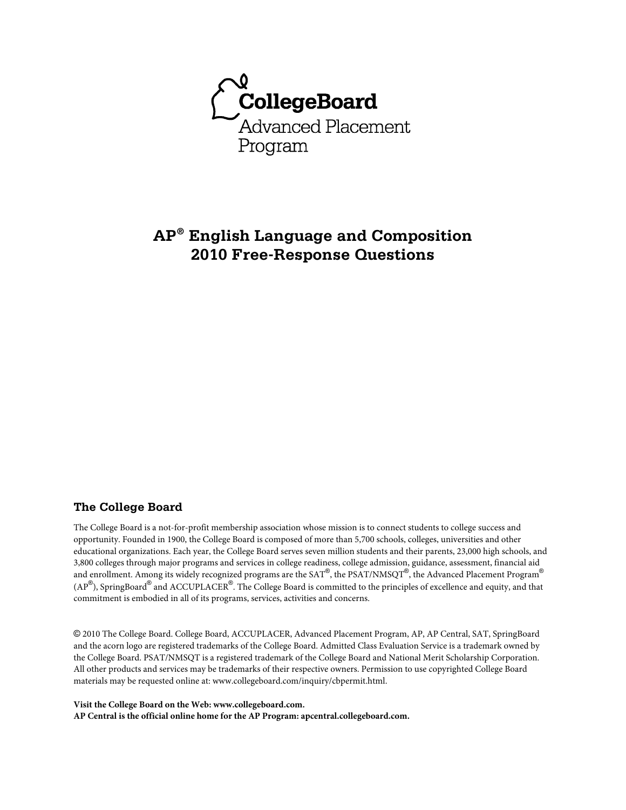

# **AP® English Language and Composition 2010 Free-Response Questions**

### **The College Board**

The College Board is a not-for-profit membership association whose mission is to connect students to college success and opportunity. Founded in 1900, the College Board is composed of more than 5,700 schools, colleges, universities and other educational organizations. Each year, the College Board serves seven million students and their parents, 23,000 high schools, and 3,800 colleges through major programs and services in college readiness, college admission, guidance, assessment, financial aid and enrollment. Among its widely recognized programs are the SAT®, the PSAT/NMSQT®, the Advanced Placement Program®  $(AP^@)$ , SpringBoard $^@$  and ACCUPLACER $^@$ . The College Board is committed to the principles of excellence and equity, and that commitment is embodied in all of its programs, services, activities and concerns.

© 2010 The College Board. College Board, ACCUPLACER, Advanced Placement Program, AP, AP Central, SAT, SpringBoard and the acorn logo are registered trademarks of the College Board. Admitted Class Evaluation Service is a trademark owned by the College Board. PSAT/NMSQT is a registered trademark of the College Board and National Merit Scholarship Corporation. All other products and services may be trademarks of their respective owners. Permission to use copyrighted College Board materials may be requested online at: www.collegeboard.com/inquiry/cbpermit.html.

**Visit the College Board on the Web: www.collegeboard.com. AP Central is the official online home for the AP Program: apcentral.collegeboard.com.**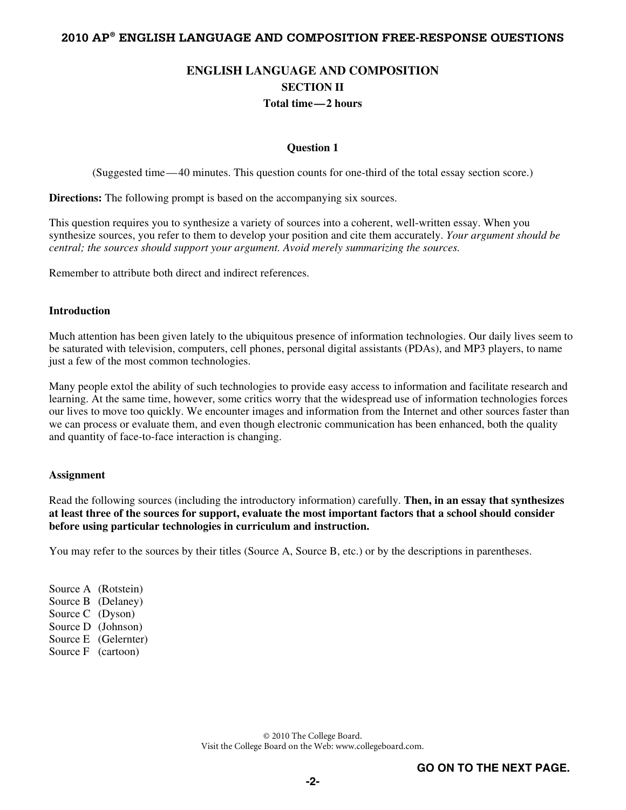# **ENGLISH LANGUAGE AND COMPOSITION SECTION II Total time—2 hours**

### **Question 1**

(Suggested time—40 minutes. This question counts for one-third of the total essay section score.)

**Directions:** The following prompt is based on the accompanying six sources.

This question requires you to synthesize a variety of sources into a coherent, well-written essay. When you synthesize sources, you refer to them to develop your position and cite them accurately. *Your argument should be central; the sources should support your argument. Avoid merely summarizing the sources.*

Remember to attribute both direct and indirect references.

#### **Introduction**

Much attention has been given lately to the ubiquitous presence of information technologies. Our daily lives seem to be saturated with television, computers, cell phones, personal digital assistants (PDAs), and MP3 players, to name just a few of the most common technologies.

Many people extol the ability of such technologies to provide easy access to information and facilitate research and learning. At the same time, however, some critics worry that the widespread use of information technologies forces our lives to move too quickly. We encounter images and information from the Internet and other sources faster than we can process or evaluate them, and even though electronic communication has been enhanced, both the quality and quantity of face-to-face interaction is changing.

#### **Assignment**

Read the following sources (including the introductory information) carefully. **Then, in an essay that synthesizes at least three of the sources for support, evaluate the most important factors that a school should consider before using particular technologies in curriculum and instruction.** 

You may refer to the sources by their titles (Source A, Source B, etc.) or by the descriptions in parentheses.

- Source A (Rotstein) Source B (Delaney) Source C (Dyson) Source D (Johnson)
- Source E (Gelernter)
- Source F (cartoon)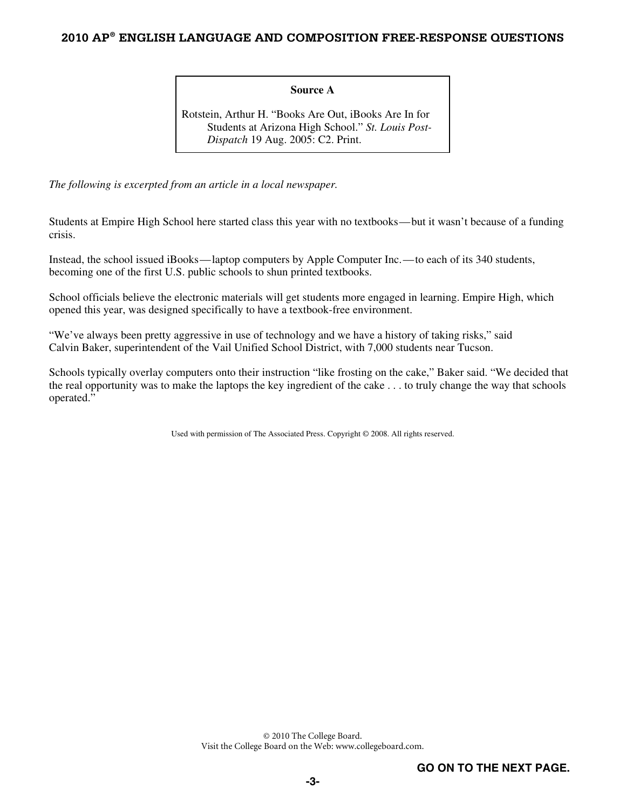### **Source A**

Rotstein, Arthur H. "Books Are Out, iBooks Are In for Students at Arizona High School." *St. Louis Post-Dispatch* 19 Aug. 2005: C2. Print.

*The following is excerpted from an article in a local newspaper.* 

Students at Empire High School here started class this year with no textbooks—but it wasn't because of a funding crisis.

Instead, the school issued iBooks—laptop computers by Apple Computer Inc.—to each of its 340 students, becoming one of the first U.S. public schools to shun printed textbooks.

School officials believe the electronic materials will get students more engaged in learning. Empire High, which opened this year, was designed specifically to have a textbook-free environment.

"We've always been pretty aggressive in use of technology and we have a history of taking risks," said Calvin Baker, superintendent of the Vail Unified School District, with 7,000 students near Tucson.

Schools typically overlay computers onto their instruction "like frosting on the cake," Baker said. "We decided that the real opportunity was to make the laptops the key ingredient of the cake . . . to truly change the way that schools operated."

Used with permission of The Associated Press. Copyright © 2008. All rights reserved.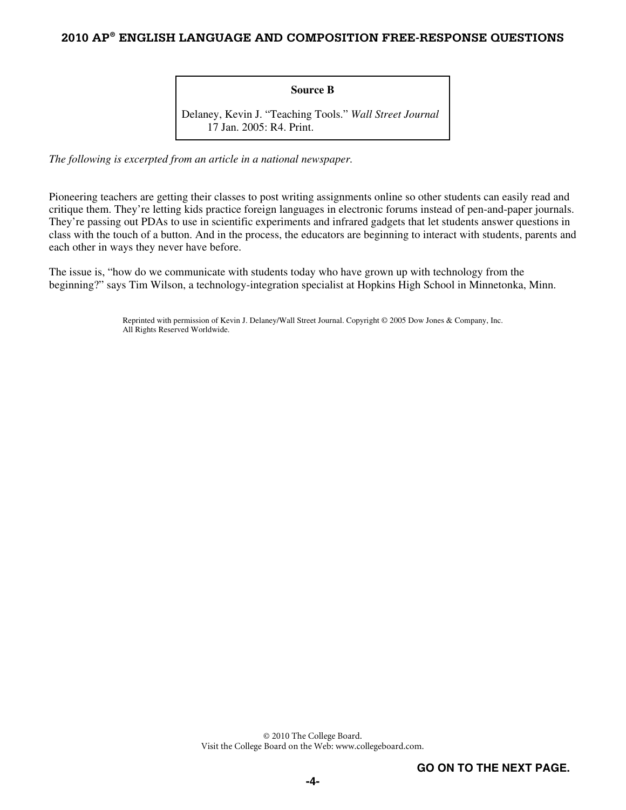#### **Source B**

Delaney, Kevin J. "Teaching Tools." *Wall Street Journal* 17 Jan. 2005: R4. Print.

*The following is excerpted from an article in a national newspaper.* 

Pioneering teachers are getting their classes to post writing assignments online so other students can easily read and critique them. They're letting kids practice foreign languages in electronic forums instead of pen-and-paper journals. They're passing out PDAs to use in scientific experiments and infrared gadgets that let students answer questions in class with the touch of a button. And in the process, the educators are beginning to interact with students, parents and each other in ways they never have before.

The issue is, "how do we communicate with students today who have grown up with technology from the beginning?" says Tim Wilson, a technology-integration specialist at Hopkins High School in Minnetonka, Minn.

> Reprinted with permission of Kevin J. Delaney/Wall Street Journal. Copyright © 2005 Dow Jones & Company, Inc. All Rights Reserved Worldwide.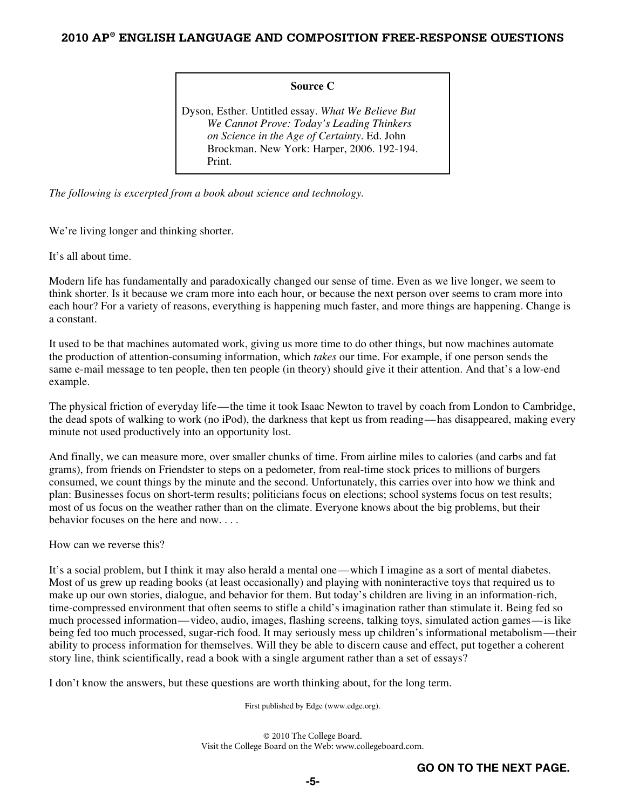#### **Source C**

Dyson, Esther. Untitled essay. *What We Believe But We Cannot Prove: Today's Leading Thinkers on Science in the Age of Certainty*. Ed. John Brockman. New York: Harper, 2006. 192-194. Print.

*The following is excerpted from a book about science and technology.* 

We're living longer and thinking shorter.

It's all about time.

Modern life has fundamentally and paradoxically changed our sense of time. Even as we live longer, we seem to think shorter. Is it because we cram more into each hour, or because the next person over seems to cram more into each hour? For a variety of reasons, everything is happening much faster, and more things are happening. Change is a constant.

It used to be that machines automated work, giving us more time to do other things, but now machines automate the production of attention-consuming information, which *takes* our time. For example, if one person sends the same e-mail message to ten people, then ten people (in theory) should give it their attention. And that's a low-end example.

The physical friction of everyday life—the time it took Isaac Newton to travel by coach from London to Cambridge, the dead spots of walking to work (no iPod), the darkness that kept us from reading—has disappeared, making every minute not used productively into an opportunity lost.

And finally, we can measure more, over smaller chunks of time. From airline miles to calories (and carbs and fat grams), from friends on Friendster to steps on a pedometer, from real-time stock prices to millions of burgers consumed, we count things by the minute and the second. Unfortunately, this carries over into how we think and plan: Businesses focus on short-term results; politicians focus on elections; school systems focus on test results; most of us focus on the weather rather than on the climate. Everyone knows about the big problems, but their behavior focuses on the here and now. . . .

How can we reverse this?

It's a social problem, but I think it may also herald a mental one—which I imagine as a sort of mental diabetes. Most of us grew up reading books (at least occasionally) and playing with noninteractive toys that required us to make up our own stories, dialogue, and behavior for them. But today's children are living in an information-rich, time-compressed environment that often seems to stifle a child's imagination rather than stimulate it. Being fed so much processed information—video, audio, images, flashing screens, talking toys, simulated action games—is like being fed too much processed, sugar-rich food. It may seriously mess up children's informational metabolism—their ability to process information for themselves. Will they be able to discern cause and effect, put together a coherent story line, think scientifically, read a book with a single argument rather than a set of essays?

I don't know the answers, but these questions are worth thinking about, for the long term.

First published by Edge (www.edge.org).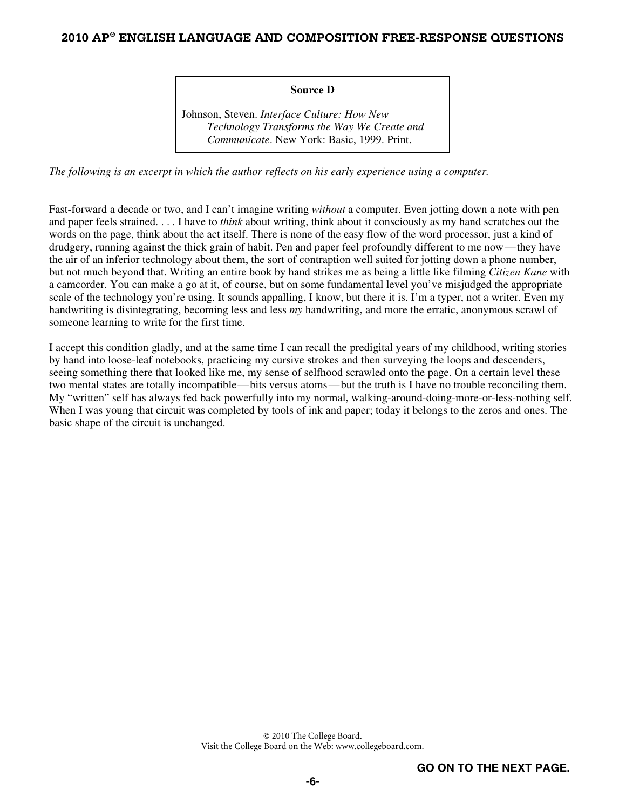### **Source D**

Johnson, Steven. *Interface Culture: How New Technology Transforms the Way We Create and Communicate*. New York: Basic, 1999. Print.

*The following is an excerpt in which the author reflects on his early experience using a computer.* 

Fast-forward a decade or two, and I can't imagine writing *without* a computer. Even jotting down a note with pen and paper feels strained. . . . I have to *think* about writing, think about it consciously as my hand scratches out the words on the page, think about the act itself. There is none of the easy flow of the word processor, just a kind of drudgery, running against the thick grain of habit. Pen and paper feel profoundly different to me now—they have the air of an inferior technology about them, the sort of contraption well suited for jotting down a phone number, but not much beyond that. Writing an entire book by hand strikes me as being a little like filming *Citizen Kane* with a camcorder. You can make a go at it, of course, but on some fundamental level you've misjudged the appropriate scale of the technology you're using. It sounds appalling, I know, but there it is. I'm a typer, not a writer. Even my handwriting is disintegrating, becoming less and less *my* handwriting, and more the erratic, anonymous scrawl of someone learning to write for the first time.

I accept this condition gladly, and at the same time I can recall the predigital years of my childhood, writing stories by hand into loose-leaf notebooks, practicing my cursive strokes and then surveying the loops and descenders, seeing something there that looked like me, my sense of selfhood scrawled onto the page. On a certain level these two mental states are totally incompatible—bits versus atoms—but the truth is I have no trouble reconciling them. My "written" self has always fed back powerfully into my normal, walking-around-doing-more-or-less-nothing self. When I was young that circuit was completed by tools of ink and paper; today it belongs to the zeros and ones. The basic shape of the circuit is unchanged.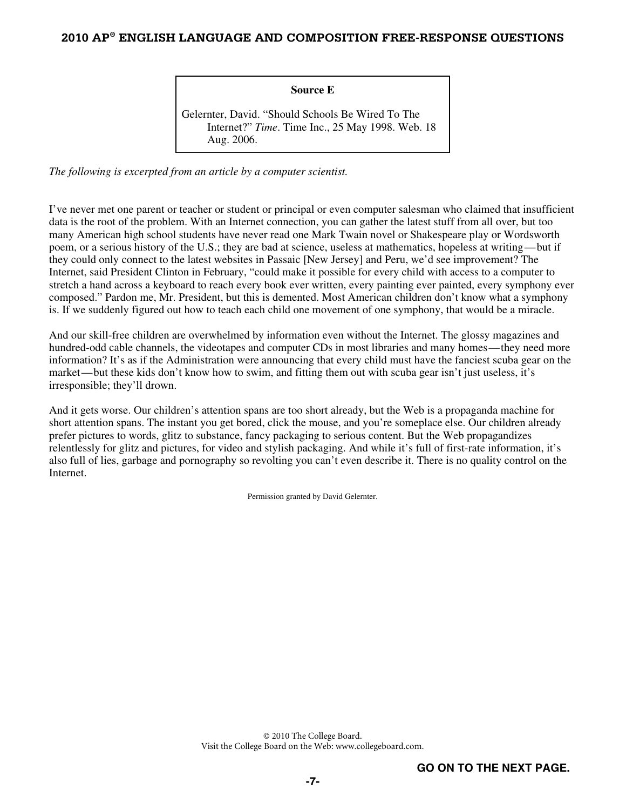### **Source E**

Gelernter, David. "Should Schools Be Wired To The Internet?" *Time*. Time Inc., 25 May 1998. Web. 18 Aug. 2006.

*The following is excerpted from an article by a computer scientist.* 

I've never met one parent or teacher or student or principal or even computer salesman who claimed that insufficient data is the root of the problem. With an Internet connection, you can gather the latest stuff from all over, but too many American high school students have never read one Mark Twain novel or Shakespeare play or Wordsworth poem, or a serious history of the U.S.; they are bad at science, useless at mathematics, hopeless at writing—but if they could only connect to the latest websites in Passaic [New Jersey] and Peru, we'd see improvement? The Internet, said President Clinton in February, "could make it possible for every child with access to a computer to stretch a hand across a keyboard to reach every book ever written, every painting ever painted, every symphony ever composed." Pardon me, Mr. President, but this is demented. Most American children don't know what a symphony is. If we suddenly figured out how to teach each child one movement of one symphony, that would be a miracle.

And our skill-free children are overwhelmed by information even without the Internet. The glossy magazines and hundred-odd cable channels, the videotapes and computer CDs in most libraries and many homes—they need more information? It's as if the Administration were announcing that every child must have the fanciest scuba gear on the market—but these kids don't know how to swim, and fitting them out with scuba gear isn't just useless, it's irresponsible; they'll drown.

And it gets worse. Our children's attention spans are too short already, but the Web is a propaganda machine for short attention spans. The instant you get bored, click the mouse, and you're someplace else. Our children already prefer pictures to words, glitz to substance, fancy packaging to serious content. But the Web propagandizes relentlessly for glitz and pictures, for video and stylish packaging. And while it's full of first-rate information, it's also full of lies, garbage and pornography so revolting you can't even describe it. There is no quality control on the Internet.

Permission granted by David Gelernter.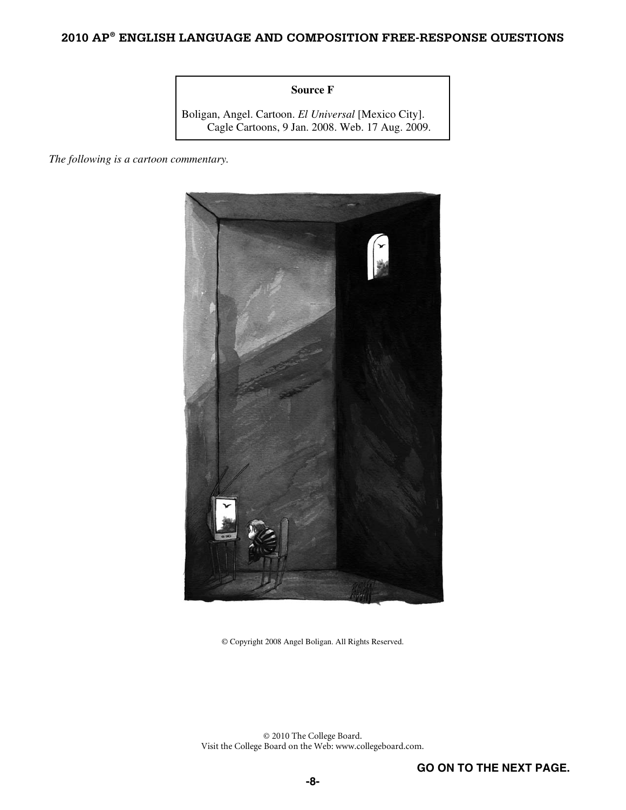#### **Source F**

Boligan, Angel. Cartoon. *El Universal* [Mexico City]. Cagle Cartoons, 9 Jan. 2008. Web. 17 Aug. 2009.

*The following is a cartoon commentary.* 



© Copyright 2008 Angel Boligan. All Rights Reserved.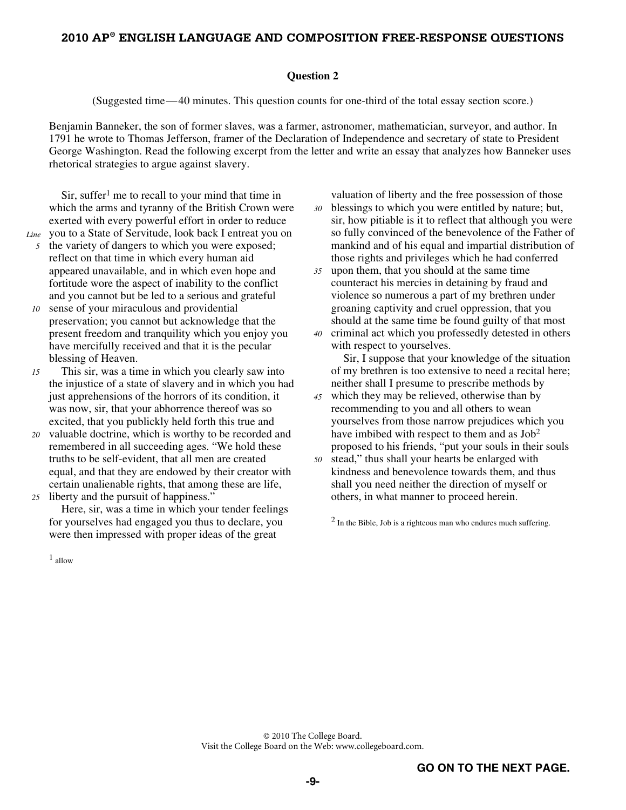#### **Question 2**

(Suggested time—40 minutes. This question counts for one-third of the total essay section score.)

Benjamin Banneker, the son of former slaves, was a farmer, astronomer, mathematician, surveyor, and author. In 1791 he wrote to Thomas Jefferson, framer of the Declaration of Independence and secretary of state to President George Washington. Read the following excerpt from the letter and write an essay that analyzes how Banneker uses rhetorical strategies to argue against slavery.

 $Sir, suffer<sup>1</sup>$  me to recall to your mind that time in which the arms and tyranny of the British Crown were exerted with every powerful effort in order to reduce

you to a State of Servitude, look back I entreat you on *Line*

- *5* the variety of dangers to which you were exposed; reflect on that time in which every human aid appeared unavailable, and in which even hope and fortitude wore the aspect of inability to the conflict and you cannot but be led to a serious and grateful
- *10* sense of your miraculous and providential preservation; you cannot but acknowledge that the present freedom and tranquility which you enjoy you have mercifully received and that it is the pecular blessing of Heaven.
- *15* This sir, was a time in which you clearly saw into the injustice of a state of slavery and in which you had just apprehensions of the horrors of its condition, it was now, sir, that your abhorrence thereof was so excited, that you publickly held forth this true and
- *20* valuable doctrine, which is worthy to be recorded and remembered in all succeeding ages. "We hold these truths to be self-evident, that all men are created equal, and that they are endowed by their creator with certain unalienable rights, that among these are life,

*25* liberty and the pursuit of happiness."

Here, sir, was a time in which your tender feelings for yourselves had engaged you thus to declare, you were then impressed with proper ideas of the great

valuation of liberty and the free possession of those

- *30* blessings to which you were entitled by nature; but, sir, how pitiable is it to reflect that although you were so fully convinced of the benevolence of the Father of mankind and of his equal and impartial distribution of those rights and privileges which he had conferred
- *35* upon them, that you should at the same time counteract his mercies in detaining by fraud and violence so numerous a part of my brethren under groaning captivity and cruel oppression, that you should at the same time be found guilty of that most
- *40* criminal act which you professedly detested in others with respect to yourselves.

Sir, I suppose that your knowledge of the situation of my brethren is too extensive to need a recital here; neither shall I presume to prescribe methods by

- *45* which they may be relieved, otherwise than by recommending to you and all others to wean yourselves from those narrow prejudices which you have imbibed with respect to them and as  $Job^2$ proposed to his friends, "put your souls in their souls
- *50* stead," thus shall your hearts be enlarged with kindness and benevolence towards them, and thus shall you need neither the direction of myself or others, in what manner to proceed herein.

 $2$  In the Bible, Job is a righteous man who endures much suffering.

 $1$  allow